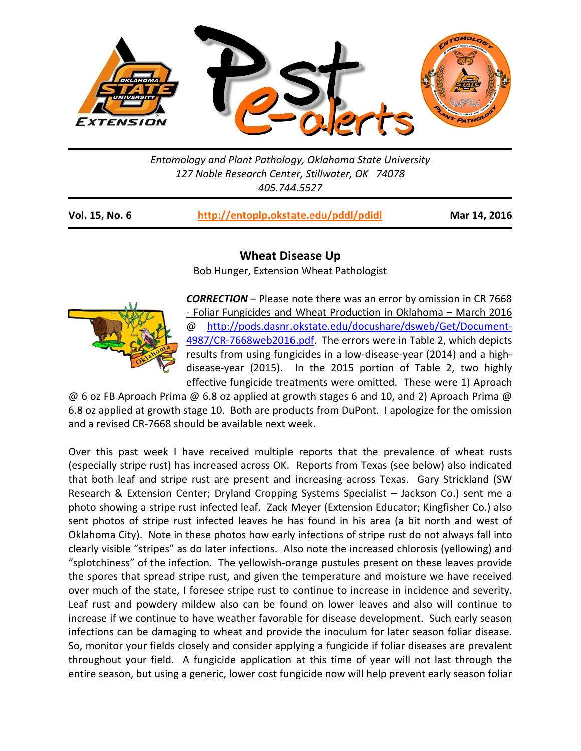

*Entomology and Plant Pathology, Oklahoma State University 127 Noble Research Center, Stillwater, OK 74078 405.744.5527* 

| <b>Vol. 15, No. 6</b> | http://entoplp.okstate.edu/pddl/pdidl |
|-----------------------|---------------------------------------|
|-----------------------|---------------------------------------|

**Mar 14, 2016** 

## **Wheat Disease Up**

Bob Hunger, Extension Wheat Pathologist



*CORRECTION* – Please note there was an error by omission in CR 7668 ‐ Foliar Fungicides and Wheat Production in Oklahoma – March 2016 @ http://pods.dasnr.okstate.edu/docushare/dsweb/Get/Document‐ 4987/CR-7668web2016.pdf. The errors were in Table 2, which depicts results from using fungicides in a low-disease-year (2014) and a highdisease-year (2015). In the 2015 portion of Table 2, two highly effective fungicide treatments were omitted. These were 1) Aproach

@ 6 oz FB Aproach Prima @ 6.8 oz applied at growth stages 6 and 10, and 2) Aproach Prima @ 6.8 oz applied at growth stage 10. Both are products from DuPont. I apologize for the omission and a revised CR‐7668 should be available next week.

Over this past week I have received multiple reports that the prevalence of wheat rusts (especially stripe rust) has increased across OK. Reports from Texas (see below) also indicated that both leaf and stripe rust are present and increasing across Texas. Gary Strickland (SW Research & Extension Center; Dryland Cropping Systems Specialist – Jackson Co.) sent me a photo showing a stripe rust infected leaf. Zack Meyer (Extension Educator; Kingfisher Co.) also sent photos of stripe rust infected leaves he has found in his area (a bit north and west of Oklahoma City). Note in these photos how early infections of stripe rust do not always fall into clearly visible "stripes" as do later infections. Also note the increased chlorosis (yellowing) and "splotchiness" of the infection. The yellowish‐orange pustules present on these leaves provide the spores that spread stripe rust, and given the temperature and moisture we have received over much of the state, I foresee stripe rust to continue to increase in incidence and severity. Leaf rust and powdery mildew also can be found on lower leaves and also will continue to increase if we continue to have weather favorable for disease development. Such early season infections can be damaging to wheat and provide the inoculum for later season foliar disease. So, monitor your fields closely and consider applying a fungicide if foliar diseases are prevalent throughout your field. A fungicide application at this time of year will not last through the entire season, but using a generic, lower cost fungicide now will help prevent early season foliar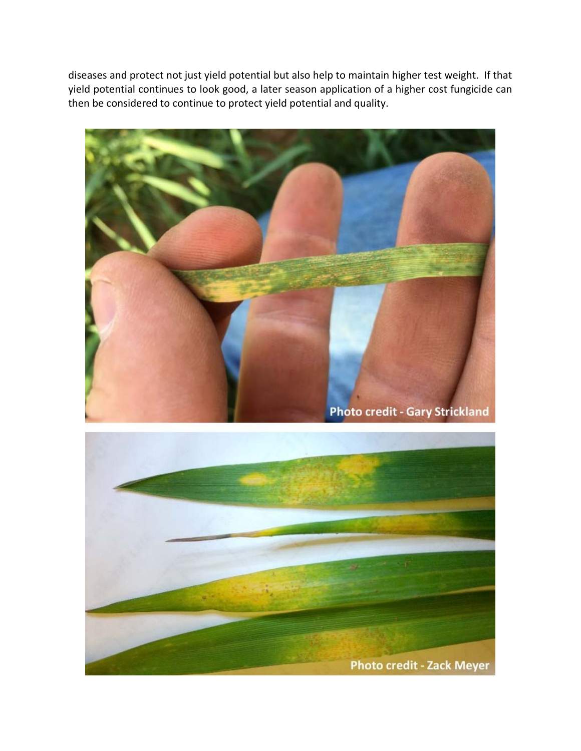diseases and protect not just yield potential but also help to maintain higher test weight. If that yield potential continues to look good, a later season application of a higher cost fungicide can then be considered to continue to protect yield potential and quality.



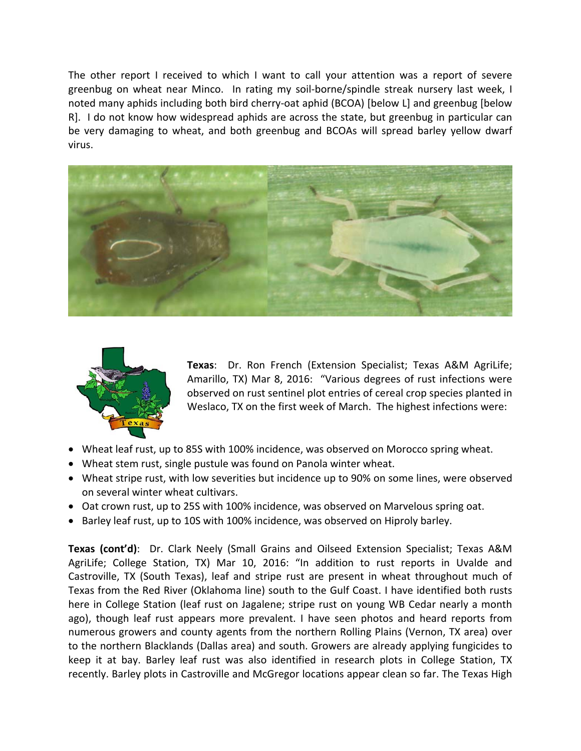The other report I received to which I want to call your attention was a report of severe greenbug on wheat near Minco. In rating my soil-borne/spindle streak nursery last week, I noted many aphids including both bird cherry‐oat aphid (BCOA) [below L] and greenbug [below R]. I do not know how widespread aphids are across the state, but greenbug in particular can be very damaging to wheat, and both greenbug and BCOAs will spread barley yellow dwarf virus.





**Texas**: Dr. Ron French (Extension Specialist; Texas A&M AgriLife; Amarillo, TX) Mar 8, 2016: "Various degrees of rust infections were observed on rust sentinel plot entries of cereal crop species planted in Weslaco, TX on the first week of March. The highest infections were:

- Wheat leaf rust, up to 85S with 100% incidence, was observed on Morocco spring wheat.
- Wheat stem rust, single pustule was found on Panola winter wheat.
- Wheat stripe rust, with low severities but incidence up to 90% on some lines, were observed on several winter wheat cultivars.
- Oat crown rust, up to 25S with 100% incidence, was observed on Marvelous spring oat.
- Barley leaf rust, up to 10S with 100% incidence, was observed on Hiproly barley.

**Texas (cont'd)**: Dr. Clark Neely (Small Grains and Oilseed Extension Specialist; Texas A&M AgriLife; College Station, TX) Mar 10, 2016: "In addition to rust reports in Uvalde and Castroville, TX (South Texas), leaf and stripe rust are present in wheat throughout much of Texas from the Red River (Oklahoma line) south to the Gulf Coast. I have identified both rusts here in College Station (leaf rust on Jagalene; stripe rust on young WB Cedar nearly a month ago), though leaf rust appears more prevalent. I have seen photos and heard reports from numerous growers and county agents from the northern Rolling Plains (Vernon, TX area) over to the northern Blacklands (Dallas area) and south. Growers are already applying fungicides to keep it at bay. Barley leaf rust was also identified in research plots in College Station, TX recently. Barley plots in Castroville and McGregor locations appear clean so far. The Texas High